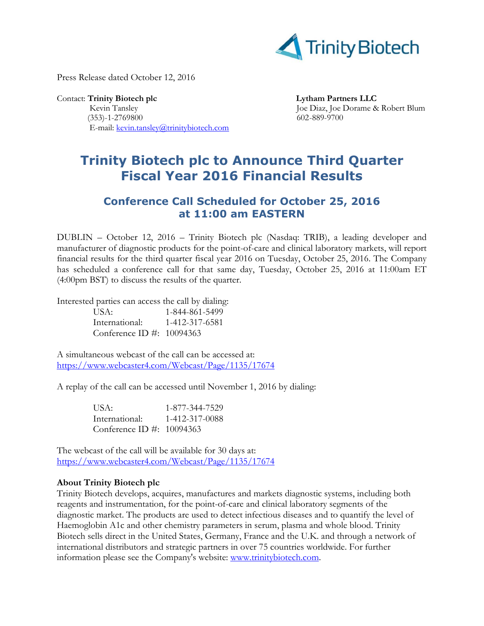

Press Release dated October 12, 2016

Contact: Trinity Biotech plc **Lytham Partners LLC**  Kevin Tansley Joe Diaz, Joe Dorame & Robert Blum (353)-1-2769800 602-889-9700 E-mail: [kevin.tansley@trinitybiotech.com](mailto:kevin.tansley@trinitybiotech.com)

## **Trinity Biotech plc to Announce Third Quarter Fiscal Year 2016 Financial Results**

## **Conference Call Scheduled for October 25, 2016 at 11:00 am EASTERN**

DUBLIN – October 12, 2016 – Trinity Biotech plc (Nasdaq: TRIB), a leading developer and manufacturer of diagnostic products for the point-of-care and clinical laboratory markets, will report financial results for the third quarter fiscal year 2016 on Tuesday, October 25, 2016. The Company has scheduled a conference call for that same day, Tuesday, October 25, 2016 at 11:00am ET (4:00pm BST) to discuss the results of the quarter.

Interested parties can access the call by dialing:

| USA:                      | 1-844-861-5499 |
|---------------------------|----------------|
| International:            | 1-412-317-6581 |
| Conference ID #: 10094363 |                |

A simultaneous webcast of the call can be accessed at: <https://www.webcaster4.com/Webcast/Page/1135/17674>

A replay of the call can be accessed until November 1, 2016 by dialing:

| USA:                      | 1-877-344-7529 |
|---------------------------|----------------|
| International:            | 1-412-317-0088 |
| Conference ID #: 10094363 |                |

The webcast of the call will be available for 30 days at: <https://www.webcaster4.com/Webcast/Page/1135/17674>

## **About Trinity Biotech plc**

Trinity Biotech develops, acquires, manufactures and markets diagnostic systems, including both reagents and instrumentation, for the point-of-care and clinical laboratory segments of the diagnostic market. The products are used to detect infectious diseases and to quantify the level of Haemoglobin A1c and other chemistry parameters in serum, plasma and whole blood. Trinity Biotech sells direct in the United States, Germany, France and the U.K. and through a network of international distributors and strategic partners in over 75 countries worldwide. For further information please see the Company's website: [www.trinitybiotech.com.](http://www.trinitybiotech.com/)